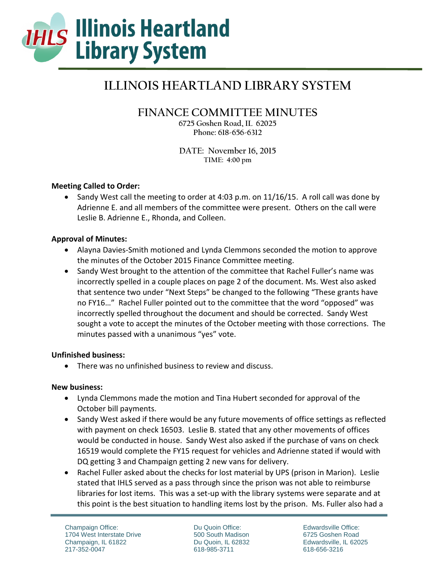

# **ILLINOIS HEARTLAND LIBRARY SYSTEM**

# **FINANCE COMMITTEE MINUTES**

**6725 Goshen Road, IL 62025 Phone: 618-656-6312** 

**DATE: November 16, 2015 TIME: 4:00 pm** 

## **Meeting Called to Order:**

• Sandy West call the meeting to order at 4:03 p.m. on 11/16/15. A roll call was done by Adrienne E. and all members of the committee were present. Others on the call were Leslie B. Adrienne E., Rhonda, and Colleen.

#### **Approval of Minutes:**

- Alayna Davies-Smith motioned and Lynda Clemmons seconded the motion to approve the minutes of the October 2015 Finance Committee meeting.
- Sandy West brought to the attention of the committee that Rachel Fuller's name was incorrectly spelled in a couple places on page 2 of the document. Ms. West also asked that sentence two under "Next Steps" be changed to the following "These grants have no FY16…" Rachel Fuller pointed out to the committee that the word "opposed" was incorrectly spelled throughout the document and should be corrected. Sandy West sought a vote to accept the minutes of the October meeting with those corrections. The minutes passed with a unanimous "yes" vote.

#### **Unfinished business:**

There was no unfinished business to review and discuss.

#### **New business:**

- Lynda Clemmons made the motion and Tina Hubert seconded for approval of the October bill payments.
- Sandy West asked if there would be any future movements of office settings as reflected with payment on check 16503. Leslie B. stated that any other movements of offices would be conducted in house. Sandy West also asked if the purchase of vans on check 16519 would complete the FY15 request for vehicles and Adrienne stated if would with DQ getting 3 and Champaign getting 2 new vans for delivery.
- Rachel Fuller asked about the checks for lost material by UPS (prison in Marion). Leslie stated that IHLS served as a pass through since the prison was not able to reimburse libraries for lost items. This was a set-up with the library systems were separate and at this point is the best situation to handling items lost by the prison. Ms. Fuller also had a

Du Quoin Office: 500 South Madison Du Quoin, IL 62832 618-985-3711

Edwardsville Office: 6725 Goshen Road Edwardsville, IL 62025 618-656-3216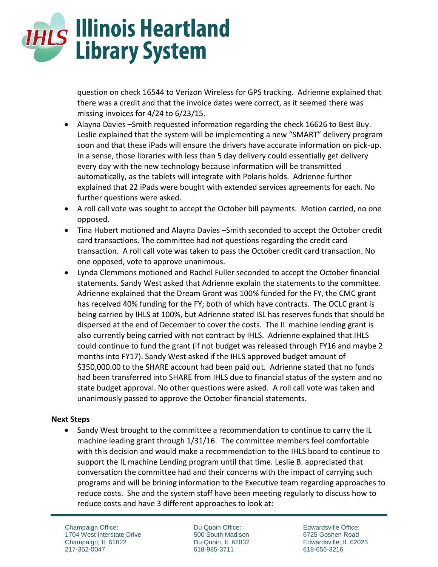

question on check 16544 to Verizon Wireless for GPS tracking. Adrienne explained that there was a credit and that the invoice dates were correct, as it seemed there was missing invoices for 4/24 to 6/23/15.

- Alayna Davies –Smith requested information regarding the check 16626 to Best Buy. Leslie explained that the system will be implementing a new "SMART" delivery program soon and that these iPads will ensure the drivers have accurate information on pick-up. In a sense, those libraries with less than 5 day delivery could essentially get delivery every day with the new technology because information will be transmitted automatically, as the tablets will integrate with Polaris holds. Adrienne further explained that 22 iPads were bought with extended services agreements for each. No further questions were asked.
- A roll call vote was sought to accept the October bill payments. Motion carried, no one opposed.
- Tina Hubert motioned and Alayna Davies –Smith seconded to accept the October credit card transactions. The committee had not questions regarding the credit card transaction. A roll call vote was taken to pass the October credit card transaction. No one opposed, vote to approve unanimous.
- Lynda Clemmons motioned and Rachel Fuller seconded to accept the October financial statements. Sandy West asked that Adrienne explain the statements to the committee. Adrienne explained that the Dream Grant was 100% funded for the FY, the CMC grant has received 40% funding for the FY; both of which have contracts. The OCLC grant is being carried by IHLS at 100%, but Adrienne stated ISL has reserves funds that should be dispersed at the end of December to cover the costs. The IL machine lending grant is also currently being carried with not contract by IHLS. Adrienne explained that IHLS could continue to fund the grant (if not budget was released through FY16 and maybe 2 months into FY17). Sandy West asked if the IHLS approved budget amount of \$350,000.00 to the SHARE account had been paid out. Adrienne stated that no funds had been transferred into SHARE from IHLS due to financial status of the system and no state budget approval. No other questions were asked. A roll call vote was taken and unanimously passed to approve the October financial statements.

#### **Next Steps**

 Sandy West brought to the committee a recommendation to continue to carry the IL machine leading grant through 1/31/16. The committee members feel comfortable with this decision and would make a recommendation to the IHLS board to continue to support the IL machine Lending program until that time. Leslie B. appreciated that conversation the committee had and their concerns with the impact of carrying such programs and will be brining information to the Executive team regarding approaches to reduce costs. She and the system staff have been meeting regularly to discuss how to reduce costs and have 3 different approaches to look at:

Champaign Office: 1704 West Interstate Drive Champaign, IL 61822 217-352-0047

Du Quoin Office: 500 South Madison Du Quoin, IL 62832 618-985-3711

Edwardsville Office: 6725 Goshen Road Edwardsville, IL 62025 618-656-3216